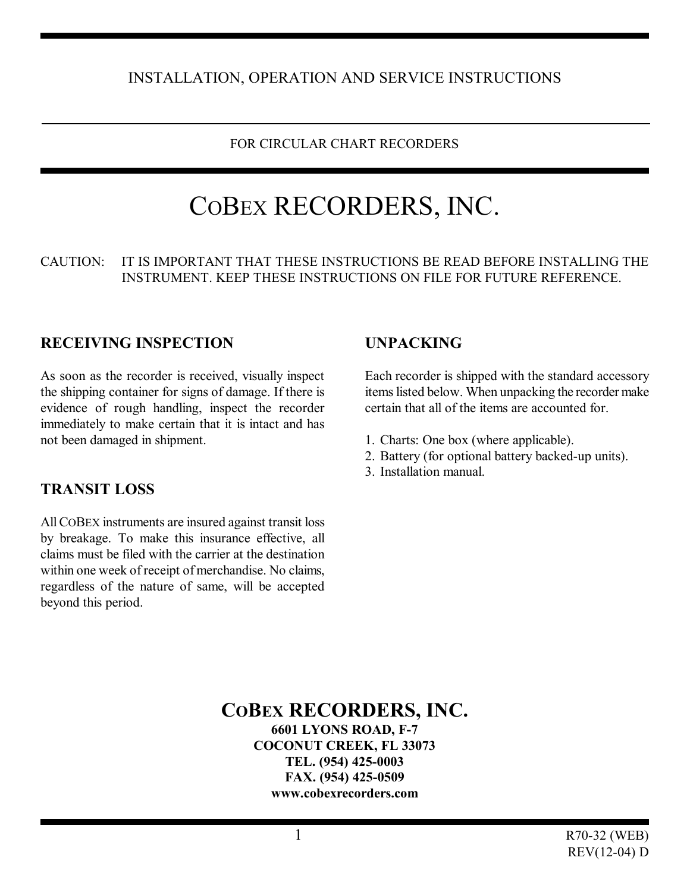## INSTALLATION, OPERATION AND SERVICE INSTRUCTIONS

#### FOR CIRCULAR CHART RECORDERS

# COBEX RECORDERS, INC.

#### CAUTION: IT IS IMPORTANT THAT THESE INSTRUCTIONS BE READ BEFORE INSTALLING THE INSTRUMENT. KEEP THESE INSTRUCTIONS ON FILE FOR FUTURE REFERENCE.

#### **RECEIVING INSPECTION**

As soon as the recorder is received, visually inspect the shipping container for signs of damage. If there is evidence of rough handling, inspect the recorder immediately to make certain that it is intact and has not been damaged in shipment.

#### **TRANSIT LOSS**

All COBEX instruments are insured against transit loss by breakage. To make this insurance effective, all claims must be filed with the carrier at the destination within one week of receipt of merchandise. No claims, regardless of the nature of same, will be accepted beyond this period.

#### **UNPACKING**

Each recorder is shipped with the standard accessory items listed below. When unpacking the recorder make certain that all of the items are accounted for.

- 1. Charts: One box (where applicable).
- 2. Battery (for optional battery backed-up units).
- 3. Installation manual.

**COBEX RECORDERS, INC. 6601 LYONS ROAD, F-7 COCONUT CREEK, FL 33073 TEL. (954) 425-0003 FAX. (954) 425-0509 www.cobexrecorders.com**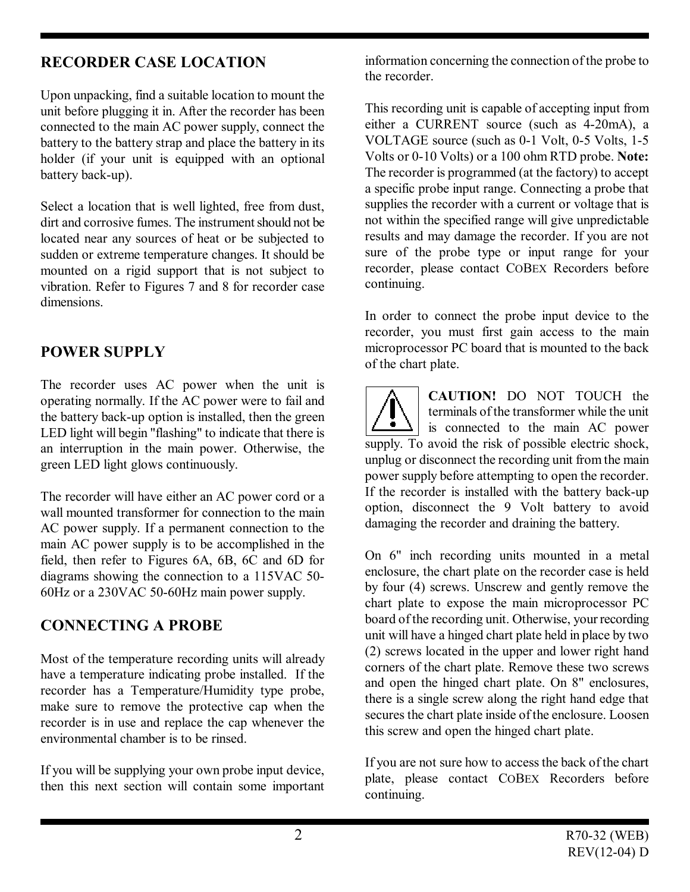## **RECORDER CASE LOCATION**

Upon unpacking, find a suitable location to mount the unit before plugging it in. After the recorder has been connected to the main AC power supply, connect the battery to the battery strap and place the battery in its holder (if your unit is equipped with an optional battery back-up).

Select a location that is well lighted, free from dust, dirt and corrosive fumes. The instrument should not be located near any sources of heat or be subjected to sudden or extreme temperature changes. It should be mounted on a rigid support that is not subject to vibration. Refer to Figures 7 and 8 for recorder case dimensions.

## **POWER SUPPLY**

The recorder uses AC power when the unit is operating normally. If the AC power were to fail and the battery back-up option is installed, then the green LED light will begin "flashing" to indicate that there is an interruption in the main power. Otherwise, the green LED light glows continuously.

The recorder will have either an AC power cord or a wall mounted transformer for connection to the main AC power supply. If a permanent connection to the main AC power supply is to be accomplished in the field, then refer to Figures 6A, 6B, 6C and 6D for diagrams showing the connection to a 115VAC 50- 60Hz or a 230VAC 50-60Hz main power supply.

## **CONNECTING A PROBE**

Most of the temperature recording units will already have a temperature indicating probe installed. If the recorder has a Temperature/Humidity type probe, make sure to remove the protective cap when the recorder is in use and replace the cap whenever the environmental chamber is to be rinsed.

If you will be supplying your own probe input device, then this next section will contain some important information concerning the connection of the probe to the recorder.

This recording unit is capable of accepting input from either a CURRENT source (such as 4-20mA), a VOLTAGE source (such as 0-1 Volt, 0-5 Volts, 1-5 Volts or 0-10 Volts) or a 100 ohm RTD probe. **Note:** The recorder is programmed (at the factory) to accept a specific probe input range. Connecting a probe that supplies the recorder with a current or voltage that is not within the specified range will give unpredictable results and may damage the recorder. If you are not sure of the probe type or input range for your recorder, please contact COBEX Recorders before continuing.

In order to connect the probe input device to the recorder, you must first gain access to the main microprocessor PC board that is mounted to the back of the chart plate.

**CAUTION!** DO NOT TOUCH the terminals of the transformer while the unit  $\vert$  is connected to the main AC power supply. To avoid the risk of possible electric shock, unplug or disconnect the recording unit from the main power supply before attempting to open the recorder. If the recorder is installed with the battery back-up option, disconnect the 9 Volt battery to avoid damaging the recorder and draining the battery.

On 6" inch recording units mounted in a metal enclosure, the chart plate on the recorder case is held by four (4) screws. Unscrew and gently remove the chart plate to expose the main microprocessor PC board of the recording unit. Otherwise, your recording unit will have a hinged chart plate held in place by two (2) screws located in the upper and lower right hand corners of the chart plate. Remove these two screws and open the hinged chart plate. On 8" enclosures, there is a single screw along the right hand edge that secures the chart plate inside of the enclosure. Loosen this screw and open the hinged chart plate.

If you are not sure how to access the back of the chart plate, please contact COBEX Recorders before continuing.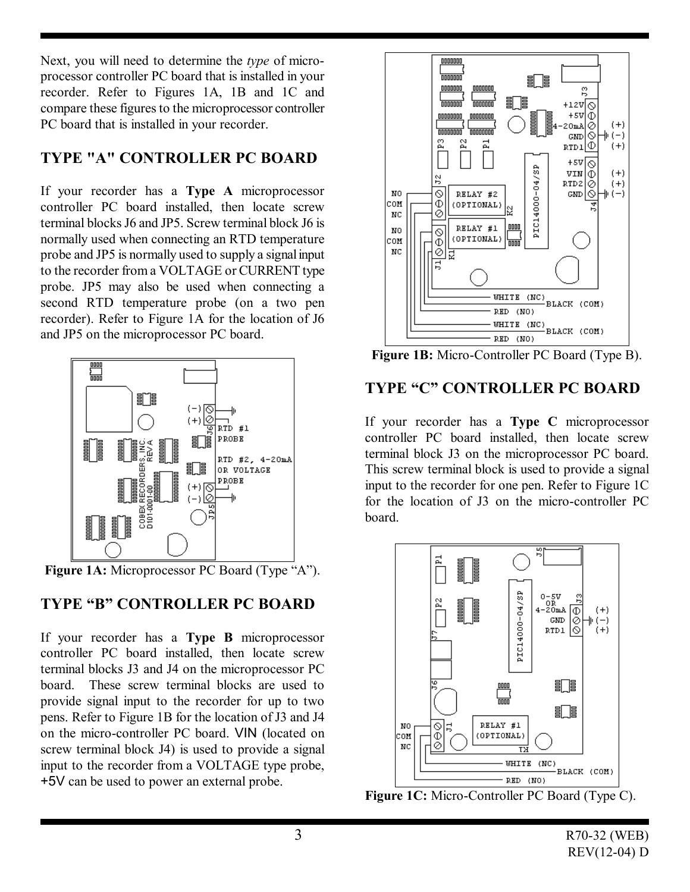Next, you will need to determine the *type* of microprocessor controller PC board that is installed in your recorder. Refer to Figures 1A, 1B and 1C and compare these figures to the microprocessor controller PC board that is installed in your recorder.

## **TYPE "A" CONTROLLER PC BOARD**

If your recorder has a **Type A** microprocessor controller PC board installed, then locate screw terminal blocks J6 and JP5. Screw terminal block J6 is normally used when connecting an RTD temperature probe and JP5 is normally used to supply a signal input to the recorder from a VOLTAGE or CURRENT type probe. JP5 may also be used when connecting a second RTD temperature probe (on a two pen recorder). Refer to Figure 1A for the location of J6 and JP5 on the microprocessor PC board.



**Figure 1A:** Microprocessor PC Board (Type "A").

## **TYPE "B" CONTROLLER PC BOARD**

If your recorder has a **Type B** microprocessor controller PC board installed, then locate screw terminal blocks J3 and J4 on the microprocessor PC board. These screw terminal blocks are used to provide signal input to the recorder for up to two pens. Refer to Figure 1B for the location of J3 and J4 on the micro-controller PC board. VIN (located on screw terminal block J4) is used to provide a signal input to the recorder from a VOLTAGE type probe, +5V can be used to power an external probe.



**Figure 1B:** Micro-Controller PC Board (Type B).

## **TYPE "C" CONTROLLER PC BOARD**

If your recorder has a **Type C** microprocessor controller PC board installed, then locate screw terminal block J3 on the microprocessor PC board. This screw terminal block is used to provide a signal input to the recorder for one pen. Refer to Figure 1C for the location of J3 on the micro-controller PC board.



**Figure 1C:** Micro-Controller PC Board (Type C).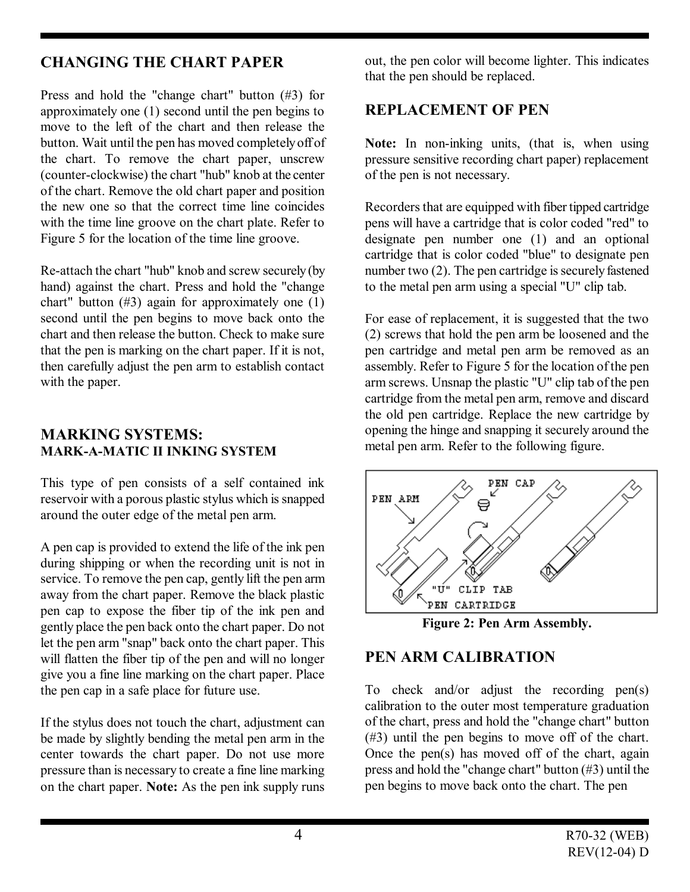## **CHANGING THE CHART PAPER**

Press and hold the "change chart" button (#3) for approximately one (1) second until the pen begins to move to the left of the chart and then release the button. Wait until the pen has moved completely off of the chart. To remove the chart paper, unscrew (counter-clockwise) the chart "hub" knob at the center of the chart. Remove the old chart paper and position the new one so that the correct time line coincides with the time line groove on the chart plate. Refer to Figure 5 for the location of the time line groove.

Re-attach the chart "hub" knob and screw securely (by hand) against the chart. Press and hold the "change chart" button  $(\#3)$  again for approximately one  $(1)$ second until the pen begins to move back onto the chart and then release the button. Check to make sure that the pen is marking on the chart paper. If it is not, then carefully adjust the pen arm to establish contact with the paper.

#### **MARKING SYSTEMS: MARK-A-MATIC II INKING SYSTEM**

This type of pen consists of a self contained ink reservoir with a porous plastic stylus which is snapped around the outer edge of the metal pen arm.

A pen cap is provided to extend the life of the ink pen during shipping or when the recording unit is not in service. To remove the pen cap, gently lift the pen arm away from the chart paper. Remove the black plastic pen cap to expose the fiber tip of the ink pen and gently place the pen back onto the chart paper. Do not let the pen arm "snap" back onto the chart paper. This will flatten the fiber tip of the pen and will no longer give you a fine line marking on the chart paper. Place the pen cap in a safe place for future use.

If the stylus does not touch the chart, adjustment can be made by slightly bending the metal pen arm in the center towards the chart paper. Do not use more pressure than is necessary to create a fine line marking on the chart paper. **Note:** As the pen ink supply runs

out, the pen color will become lighter. This indicates that the pen should be replaced.

## **REPLACEMENT OF PEN**

**Note:** In non-inking units, (that is, when using pressure sensitive recording chart paper) replacement of the pen is not necessary.

Recorders that are equipped with fiber tipped cartridge pens will have a cartridge that is color coded "red" to designate pen number one (1) and an optional cartridge that is color coded "blue" to designate pen number two (2). The pen cartridge is securely fastened to the metal pen arm using a special "U" clip tab.

For ease of replacement, it is suggested that the two (2) screws that hold the pen arm be loosened and the pen cartridge and metal pen arm be removed as an assembly. Refer to Figure 5 for the location of the pen arm screws. Unsnap the plastic "U" clip tab of the pen cartridge from the metal pen arm, remove and discard the old pen cartridge. Replace the new cartridge by opening the hinge and snapping it securely around the metal pen arm. Refer to the following figure.



**Figure 2: Pen Arm Assembly.** 

## **PEN ARM CALIBRATION**

To check and/or adjust the recording pen(s) calibration to the outer most temperature graduation of the chart, press and hold the "change chart" button (#3) until the pen begins to move off of the chart. Once the pen(s) has moved off of the chart, again press and hold the "change chart" button (#3) until the pen begins to move back onto the chart. The pen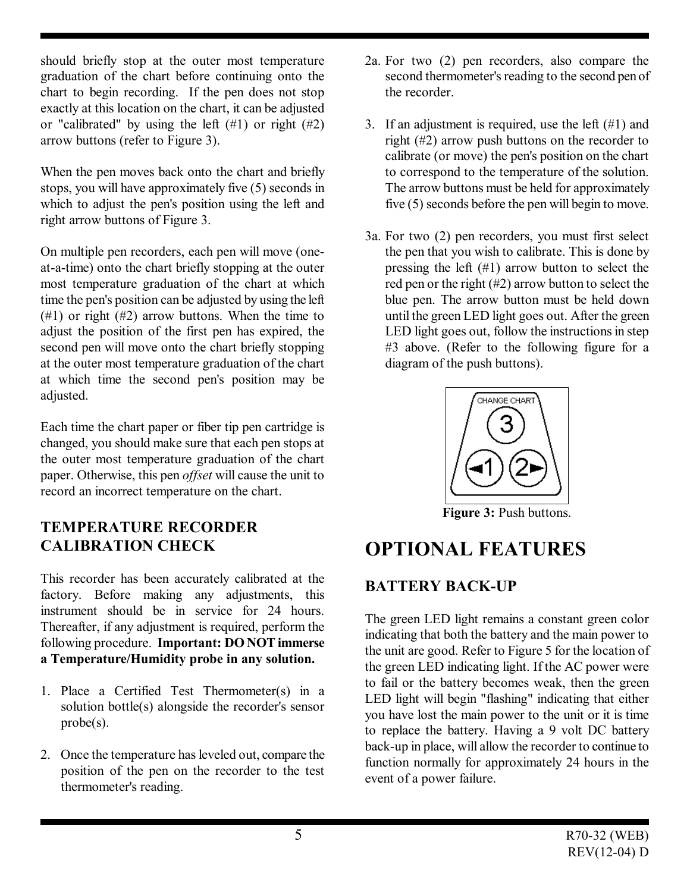should briefly stop at the outer most temperature graduation of the chart before continuing onto the chart to begin recording. If the pen does not stop exactly at this location on the chart, it can be adjusted or "calibrated" by using the left  $(\#1)$  or right  $(\#2)$ arrow buttons (refer to Figure 3).

When the pen moves back onto the chart and briefly stops, you will have approximately five (5) seconds in which to adjust the pen's position using the left and right arrow buttons of Figure 3.

On multiple pen recorders, each pen will move (oneat-a-time) onto the chart briefly stopping at the outer most temperature graduation of the chart at which time the pen's position can be adjusted by using the left (#1) or right (#2) arrow buttons. When the time to adjust the position of the first pen has expired, the second pen will move onto the chart briefly stopping at the outer most temperature graduation of the chart at which time the second pen's position may be adjusted.

Each time the chart paper or fiber tip pen cartridge is changed, you should make sure that each pen stops at the outer most temperature graduation of the chart paper. Otherwise, this pen *offset* will cause the unit to record an incorrect temperature on the chart.

## **TEMPERATURE RECORDER CALIBRATION CHECK**

This recorder has been accurately calibrated at the factory. Before making any adjustments, this instrument should be in service for 24 hours. Thereafter, if any adjustment is required, perform the following procedure. **Important: DO NOT immerse a Temperature/Humidity probe in any solution.**

- 1. Place a Certified Test Thermometer(s) in a solution bottle(s) alongside the recorder's sensor probe(s).
- 2. Once the temperature has leveled out, compare the position of the pen on the recorder to the test thermometer's reading.
- 2a. For two (2) pen recorders, also compare the second thermometer's reading to the second pen of the recorder.
- 3. If an adjustment is required, use the left  $(\#1)$  and right (#2) arrow push buttons on the recorder to calibrate (or move) the pen's position on the chart to correspond to the temperature of the solution. The arrow buttons must be held for approximately five (5) seconds before the pen will begin to move.
- 3a. For two (2) pen recorders, you must first select the pen that you wish to calibrate. This is done by pressing the left (#1) arrow button to select the red pen or the right (#2) arrow button to select the blue pen. The arrow button must be held down until the green LED light goes out. After the green LED light goes out, follow the instructions in step #3 above. (Refer to the following figure for a diagram of the push buttons).



**Figure 3:** Push buttons.

## **OPTIONAL FEATURES**

## **BATTERY BACK-UP**

The green LED light remains a constant green color indicating that both the battery and the main power to the unit are good. Refer to Figure 5 for the location of the green LED indicating light. If the AC power were to fail or the battery becomes weak, then the green LED light will begin "flashing" indicating that either you have lost the main power to the unit or it is time to replace the battery. Having a 9 volt DC battery back-up in place, will allow the recorder to continue to function normally for approximately 24 hours in the event of a power failure.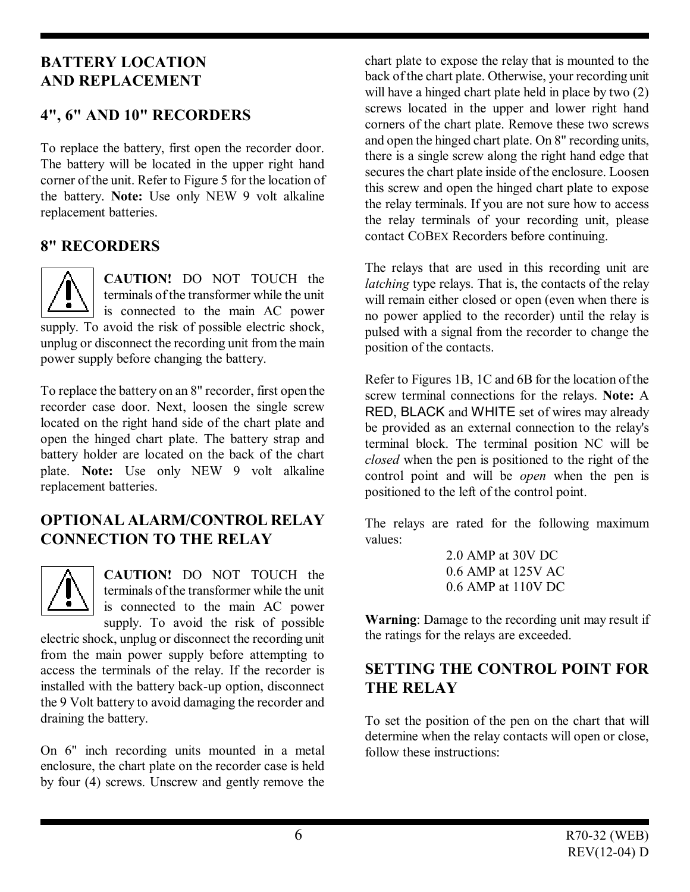## **BATTERY LOCATION AND REPLACEMENT**

## **4", 6" AND 10" RECORDERS**

To replace the battery, first open the recorder door. The battery will be located in the upper right hand corner of the unit. Refer to Figure 5 for the location of the battery. **Note:** Use only NEW 9 volt alkaline replacement batteries.

## **8" RECORDERS**

**CAUTION!** DO NOT TOUCH the terminals of the transformer while the unit  $\mathsf{I}$  is connected to the main AC power supply. To avoid the risk of possible electric shock, unplug or disconnect the recording unit from the main power supply before changing the battery.

To replace the battery on an 8" recorder, first open the recorder case door. Next, loosen the single screw located on the right hand side of the chart plate and open the hinged chart plate. The battery strap and battery holder are located on the back of the chart plate. **Note:** Use only NEW 9 volt alkaline replacement batteries.

## **OPTIONAL ALARM/CONTROL RELAY CONNECTION TO THE RELAY**

**CAUTION!** DO NOT TOUCH the terminals of the transformer while the unit is connected to the main AC power supply. To avoid the risk of possible

electric shock, unplug or disconnect the recording unit from the main power supply before attempting to access the terminals of the relay. If the recorder is installed with the battery back-up option, disconnect the 9 Volt battery to avoid damaging the recorder and draining the battery.

On 6" inch recording units mounted in a metal enclosure, the chart plate on the recorder case is held by four (4) screws. Unscrew and gently remove the

chart plate to expose the relay that is mounted to the back of the chart plate. Otherwise, your recording unit will have a hinged chart plate held in place by two  $(2)$ screws located in the upper and lower right hand corners of the chart plate. Remove these two screws and open the hinged chart plate. On 8" recording units, there is a single screw along the right hand edge that secures the chart plate inside of the enclosure. Loosen this screw and open the hinged chart plate to expose the relay terminals. If you are not sure how to access the relay terminals of your recording unit, please contact COBEX Recorders before continuing.

The relays that are used in this recording unit are *latching* type relays. That is, the contacts of the relay will remain either closed or open (even when there is no power applied to the recorder) until the relay is pulsed with a signal from the recorder to change the position of the contacts.

Refer to Figures 1B, 1C and 6B for the location of the screw terminal connections for the relays. **Note:** A RED, BLACK and WHITE set of wires may already be provided as an external connection to the relay's terminal block. The terminal position NC will be *closed* when the pen is positioned to the right of the control point and will be *open* when the pen is positioned to the left of the control point.

The relays are rated for the following maximum values:

> 2.0 AMP at 30V DC 0.6 AMP at 125V AC 0.6 AMP at 110V DC

**Warning**: Damage to the recording unit may result if the ratings for the relays are exceeded.

## **SETTING THE CONTROL POINT FOR THE RELAY**

To set the position of the pen on the chart that will determine when the relay contacts will open or close, follow these instructions: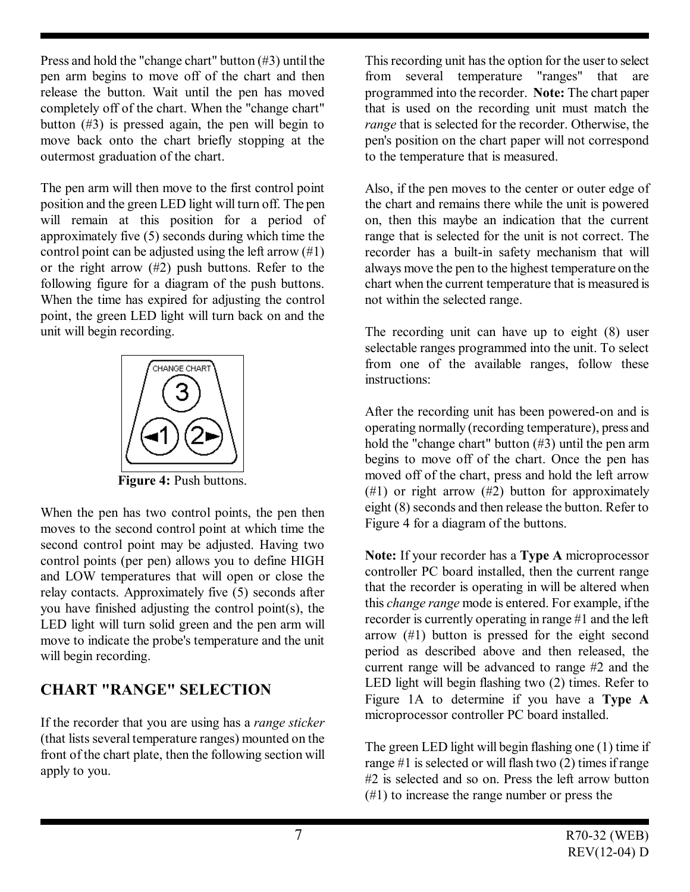Press and hold the "change chart" button (#3) until the pen arm begins to move off of the chart and then release the button. Wait until the pen has moved completely off of the chart. When the "change chart" button (#3) is pressed again, the pen will begin to move back onto the chart briefly stopping at the outermost graduation of the chart.

The pen arm will then move to the first control point position and the green LED light will turn off. The pen will remain at this position for a period of approximately five (5) seconds during which time the control point can be adjusted using the left arrow  $(\#1)$ or the right arrow (#2) push buttons. Refer to the following figure for a diagram of the push buttons. When the time has expired for adjusting the control point, the green LED light will turn back on and the unit will begin recording.



**Figure 4:** Push buttons.

When the pen has two control points, the pen then moves to the second control point at which time the second control point may be adjusted. Having two control points (per pen) allows you to define HIGH and LOW temperatures that will open or close the relay contacts. Approximately five (5) seconds after you have finished adjusting the control point(s), the LED light will turn solid green and the pen arm will move to indicate the probe's temperature and the unit will begin recording.

## **CHART "RANGE" SELECTION**

If the recorder that you are using has a *range sticker* (that lists several temperature ranges) mounted on the front of the chart plate, then the following section will apply to you.

This recording unit has the option for the user to select from several temperature "ranges" that are programmed into the recorder. **Note:** The chart paper that is used on the recording unit must match the *range* that is selected for the recorder. Otherwise, the pen's position on the chart paper will not correspond to the temperature that is measured.

Also, if the pen moves to the center or outer edge of the chart and remains there while the unit is powered on, then this maybe an indication that the current range that is selected for the unit is not correct. The recorder has a built-in safety mechanism that will always move the pen to the highest temperature on the chart when the current temperature that is measured is not within the selected range.

The recording unit can have up to eight (8) user selectable ranges programmed into the unit. To select from one of the available ranges, follow these instructions:

After the recording unit has been powered-on and is operating normally (recording temperature), press and hold the "change chart" button (#3) until the pen arm begins to move off of the chart. Once the pen has moved off of the chart, press and hold the left arrow  $(\#1)$  or right arrow  $(\#2)$  button for approximately eight (8) seconds and then release the button. Refer to Figure 4 for a diagram of the buttons.

**Note:** If your recorder has a **Type A** microprocessor controller PC board installed, then the current range that the recorder is operating in will be altered when this *change range* mode is entered. For example, if the recorder is currently operating in range #1 and the left arrow (#1) button is pressed for the eight second period as described above and then released, the current range will be advanced to range #2 and the LED light will begin flashing two (2) times. Refer to Figure 1A to determine if you have a **Type A** microprocessor controller PC board installed.

The green LED light will begin flashing one (1) time if range #1 is selected or will flash two (2) times if range #2 is selected and so on. Press the left arrow button (#1) to increase the range number or press the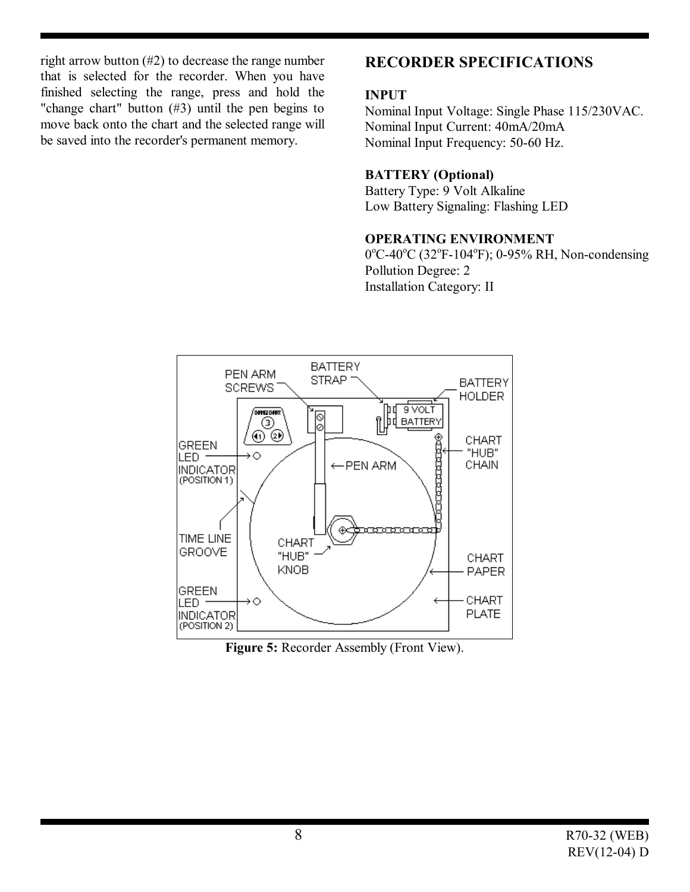right arrow button (#2) to decrease the range number that is selected for the recorder. When you have finished selecting the range, press and hold the "change chart" button (#3) until the pen begins to move back onto the chart and the selected range will be saved into the recorder's permanent memory.

## **RECORDER SPECIFICATIONS**

#### **INPUT**

Nominal Input Voltage: Single Phase 115/230VAC. Nominal Input Current: 40mA/20mA Nominal Input Frequency: 50-60 Hz.

#### **BATTERY (Optional)**

Battery Type: 9 Volt Alkaline Low Battery Signaling: Flashing LED

#### **OPERATING ENVIRONMENT**

0°C-40°C (32°F-104°F); 0-95% RH, Non-condensing Pollution Degree: 2 Installation Category: II



**Figure 5:** Recorder Assembly (Front View).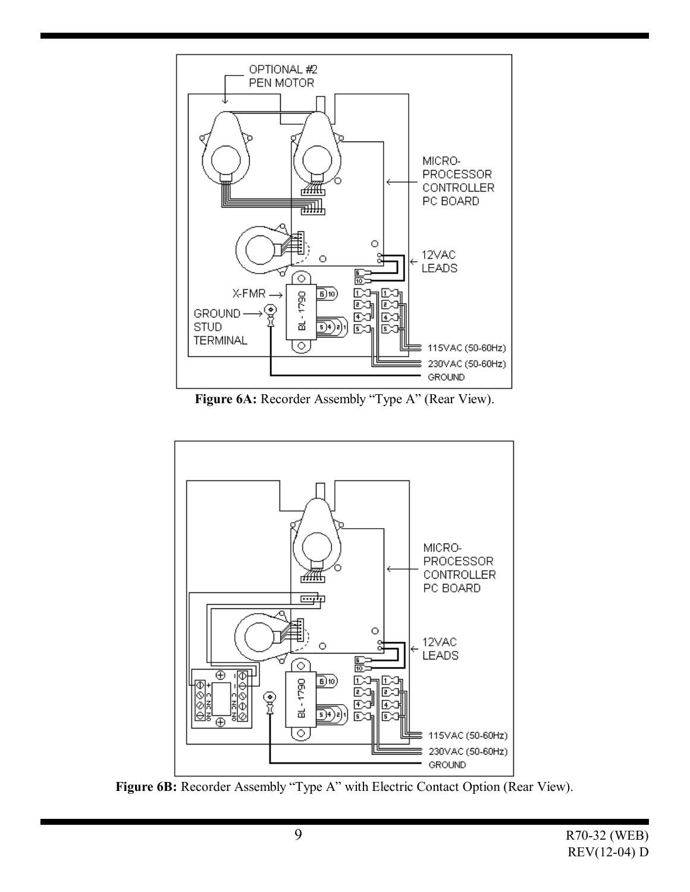

**Figure 6A:** Recorder Assembly "Type A" (Rear View).



Figure 6B: Recorder Assembly "Type A" with Electric Contact Option (Rear View).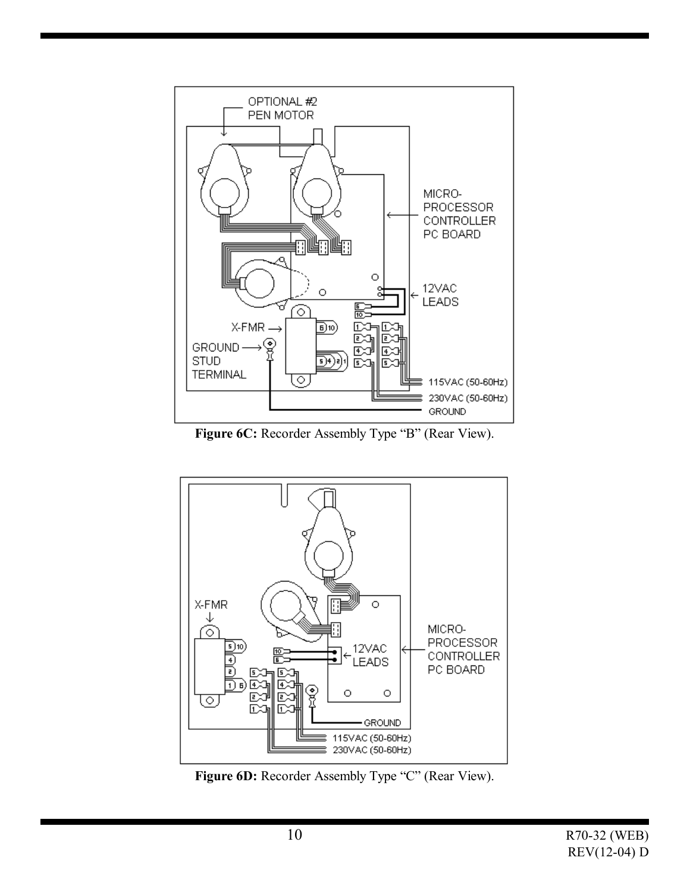

Figure 6C: Recorder Assembly Type "B" (Rear View).



Figure 6D: Recorder Assembly Type "C" (Rear View).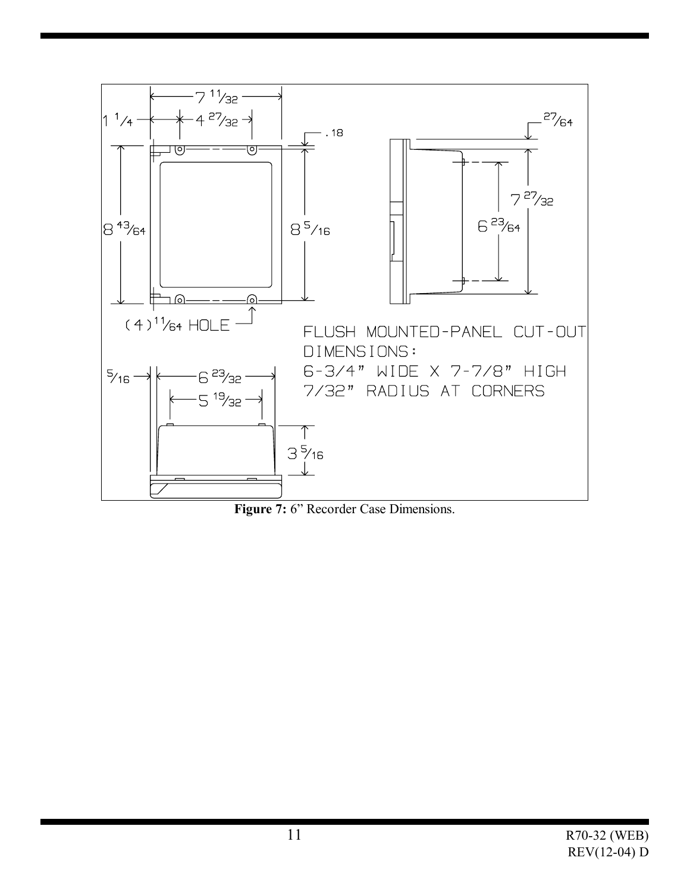

Figure 7: 6" Recorder Case Dimensions.